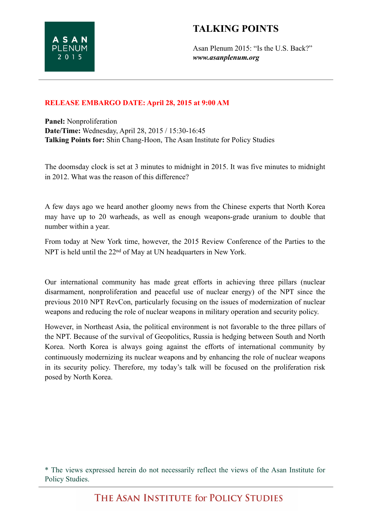## **TALKING POINTS**

Asan Plenum 2015: "Is the U.S. Back?" *www.asanplenum.org*

## **RELEASE EMBARGO DATE: April 28, 2015 at 9:00 AM**

**Panel:** Nonproliferation **Date/Time:** Wednesday, April 28, 2015 / 15:30-16:45 **Talking Points for:** Shin Chang-Hoon, The Asan Institute for Policy Studies

The doomsday clock is set at 3 minutes to midnight in 2015. It was five minutes to midnight in 2012. What was the reason of this difference?

A few days ago we heard another gloomy news from the Chinese experts that North Korea may have up to 20 warheads, as well as enough weapons-grade uranium to double that number within a year.

From today at New York time, however, the 2015 Review Conference of the Parties to the NPT is held until the 22<sup>nd</sup> of May at UN headquarters in New York.

Our international community has made great efforts in achieving three pillars (nuclear disarmament, nonproliferation and peaceful use of nuclear energy) of the NPT since the previous 2010 NPT RevCon, particularly focusing on the issues of modernization of nuclear weapons and reducing the role of nuclear weapons in military operation and security policy.

However, in Northeast Asia, the political environment is not favorable to the three pillars of the NPT. Because of the survival of Geopolitics, Russia is hedging between South and North Korea. North Korea is always going against the efforts of international community by continuously modernizing its nuclear weapons and by enhancing the role of nuclear weapons in its security policy. Therefore, my today's talk will be focused on the proliferation risk posed by North Korea.

<sup>\*</sup> The views expressed herein do not necessarily reflect the views of the Asan Institute for Policy Studies.